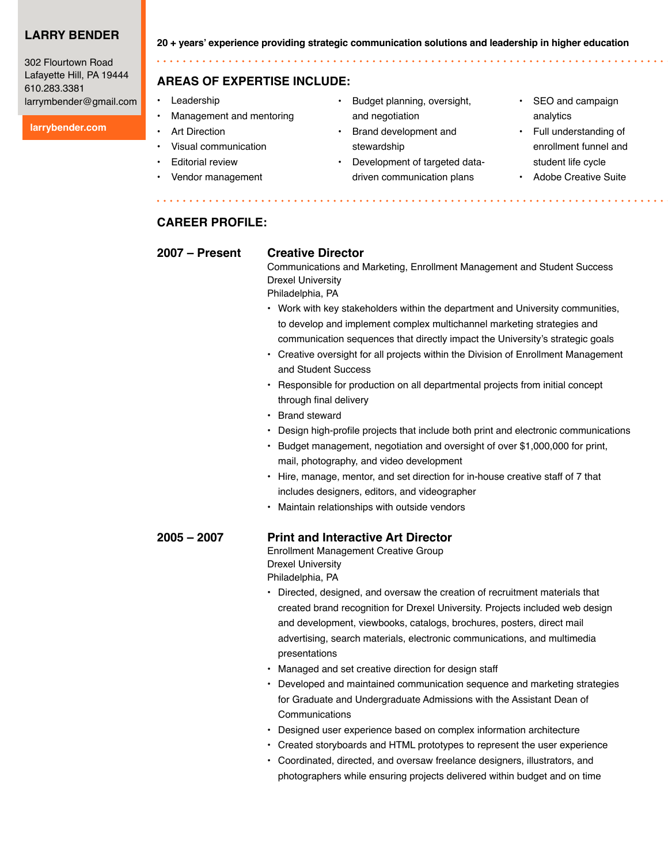# **Larry Bender**

302 Flourtown Road Lafayette Hill, PA 19444 610.283.3381 larrymbender@gmail.com

#### **larrybender.com**

**20 + years' experience providing strategic communication solutions and leadership in higher education**

### **Areas of expertise include:**

- **Leadership**
- Management and mentoring
- **Art Direction**
- Visual communication
- **Editorial review**
- Vendor management
- Budget planning, oversight, and negotiation
- Brand development and stewardship
- Development of targeted datadriven communication plans
- SEO and campaign analytics
- Full understanding of enrollment funnel and student life cycle
- Adobe Creative Suite

### **Career Profile:**

#### **2007 – Present Creative Director**

. . . . . . . . . . .

Communications and Marketing, Enrollment Management and Student Success Drexel University

Philadelphia, PA

- Work with key stakeholders within the department and University communities, to develop and implement complex multichannel marketing strategies and communication sequences that directly impact the University's strategic goals
- Creative oversight for all projects within the Division of Enrollment Management and Student Success
- Responsible for production on all departmental projects from initial concept through final delivery
- Brand steward
- Design high-profile projects that include both print and electronic communications
- Budget management, negotiation and oversight of over \$1,000,000 for print, mail, photography, and video development
- Hire, manage, mentor, and set direction for in-house creative staff of 7 that includes designers, editors, and videographer
- Maintain relationships with outside vendors

### **2005 – 2007 Print and Interactive Art Director**

Enrollment Management Creative Group Drexel University

Philadelphia, PA

- Directed, designed, and oversaw the creation of recruitment materials that created brand recognition for Drexel University. Projects included web design and development, viewbooks, catalogs, brochures, posters, direct mail advertising, search materials, electronic communications, and multimedia presentations
- Managed and set creative direction for design staff
- Developed and maintained communication sequence and marketing strategies for Graduate and Undergraduate Admissions with the Assistant Dean of **Communications**
- Designed user experience based on complex information architecture
- Created storyboards and HTML prototypes to represent the user experience
- Coordinated, directed, and oversaw freelance designers, illustrators, and photographers while ensuring projects delivered within budget and on time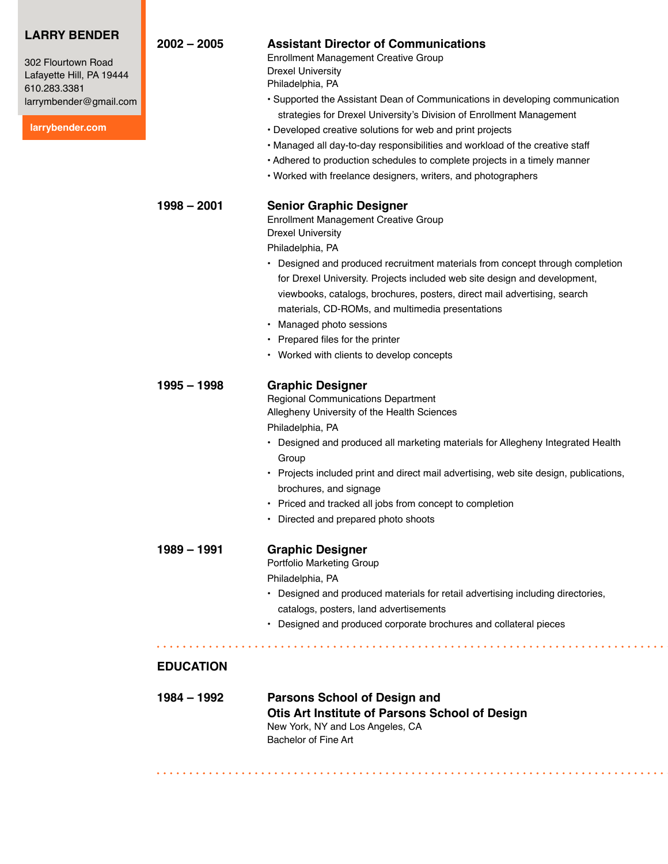| <b>LARRY BENDER</b><br>302 Flourtown Road<br>Lafayette Hill, PA 19444<br>610.283.3381<br>larrymbender@gmail.com<br>larrybender.com | $2002 - 2005$                     | <b>Assistant Director of Communications</b><br><b>Enrollment Management Creative Group</b><br><b>Drexel University</b><br>Philadelphia, PA<br>• Supported the Assistant Dean of Communications in developing communication<br>strategies for Drexel University's Division of Enrollment Management<br>• Developed creative solutions for web and print projects<br>• Managed all day-to-day responsibilities and workload of the creative staff<br>• Adhered to production schedules to complete projects in a timely manner<br>• Worked with freelance designers, writers, and photographers |
|------------------------------------------------------------------------------------------------------------------------------------|-----------------------------------|-----------------------------------------------------------------------------------------------------------------------------------------------------------------------------------------------------------------------------------------------------------------------------------------------------------------------------------------------------------------------------------------------------------------------------------------------------------------------------------------------------------------------------------------------------------------------------------------------|
|                                                                                                                                    | $1998 - 2001$                     | <b>Senior Graphic Designer</b><br><b>Enrollment Management Creative Group</b><br><b>Drexel University</b><br>Philadelphia, PA<br>• Designed and produced recruitment materials from concept through completion<br>for Drexel University. Projects included web site design and development,<br>viewbooks, catalogs, brochures, posters, direct mail advertising, search<br>materials, CD-ROMs, and multimedia presentations<br>• Managed photo sessions<br>• Prepared files for the printer<br>• Worked with clients to develop concepts                                                      |
|                                                                                                                                    | $1995 - 1998$                     | <b>Graphic Designer</b><br><b>Regional Communications Department</b><br>Allegheny University of the Health Sciences<br>Philadelphia, PA<br>• Designed and produced all marketing materials for Allegheny Integrated Health<br>Group<br>• Projects included print and direct mail advertising, web site design, publications,<br>brochures, and signage<br>• Priced and tracked all jobs from concept to completion<br>Directed and prepared photo shoots                                                                                                                                      |
|                                                                                                                                    | $1989 - 1991$<br><b>EDUCATION</b> | <b>Graphic Designer</b><br>Portfolio Marketing Group<br>Philadelphia, PA<br>• Designed and produced materials for retail advertising including directories,<br>catalogs, posters, land advertisements<br>• Designed and produced corporate brochures and collateral pieces                                                                                                                                                                                                                                                                                                                    |
|                                                                                                                                    | 1984 – 1992                       | <b>Parsons School of Design and</b><br>Otis Art Institute of Parsons School of Design<br>New York, NY and Los Angeles, CA<br>Bachelor of Fine Art                                                                                                                                                                                                                                                                                                                                                                                                                                             |